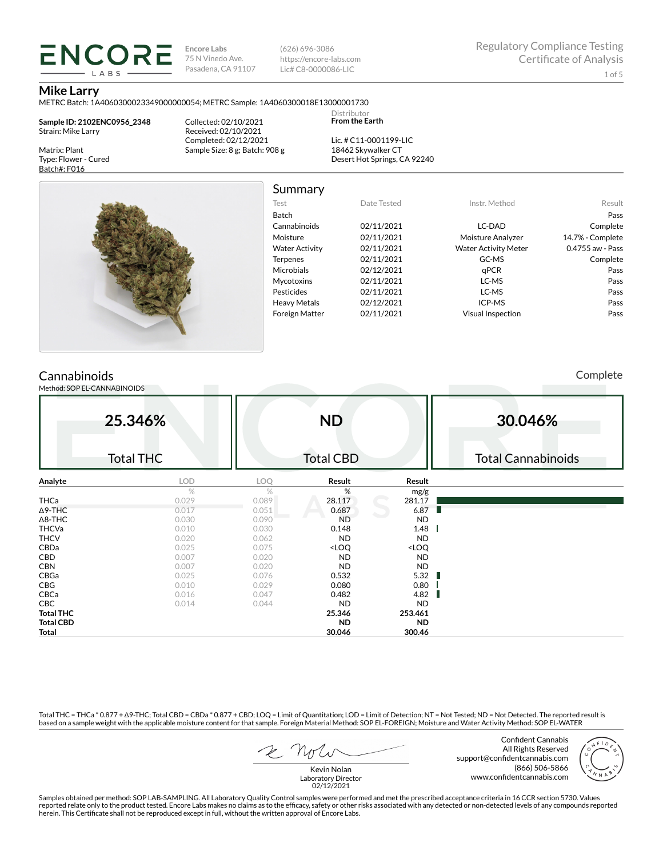**Encore Labs** 75 N Vinedo Ave. Pasadena, CA 91107 (626) 696-3086 https://encore-labs.com Lic# C8-0000086-LIC

Summary

Distributor **From the Earth**

### **Mike Larry**

Matrix: Plant Type: Flower - Cured Batch#: F016

METRC Batch: 1A4060300023349000000054; METRC Sample: 1A4060300018E13000001730

**Sample ID: 2102ENC0956\_2348** Strain: Mike Larry

ENCORE LABS

> Collected: 02/10/2021 Received: 02/10/2021 Completed: 02/12/2021 Sample Size: 8 g; Batch: 908 g

Lic. # C11-0001199-LIC 18462 Skywalker CT Desert Hot Springs, CA 92240



| Test                  | Date Tested | Instr. Method               | Result           |
|-----------------------|-------------|-----------------------------|------------------|
| <b>Batch</b>          |             |                             | Pass             |
| Cannabinoids          | 02/11/2021  | LC-DAD                      | Complete         |
| Moisture              | 02/11/2021  | Moisture Analyzer           | 14.7% - Complete |
| <b>Water Activity</b> | 02/11/2021  | <b>Water Activity Meter</b> | 0.4755 aw - Pass |
| <b>Terpenes</b>       | 02/11/2021  | GC-MS                       | Complete         |
| <b>Microbials</b>     | 02/12/2021  | aPCR                        | Pass             |
| <b>Mycotoxins</b>     | 02/11/2021  | LC-MS                       | Pass             |
| Pesticides            | 02/11/2021  | LC-MS                       | Pass             |
| <b>Heavy Metals</b>   | 02/12/2021  | ICP-MS                      | Pass             |
| <b>Foreign Matter</b> | 02/11/2021  | <b>Visual Inspection</b>    | Pass             |

## **Cannabinoids**

Method: SOP EL-CANNABINOIDS

Complete

|                  | 25.346%          |       | <b>ND</b>                                                |                              | 30.046%                   |
|------------------|------------------|-------|----------------------------------------------------------|------------------------------|---------------------------|
|                  | <b>Total THC</b> |       | <b>Total CBD</b>                                         |                              | <b>Total Cannabinoids</b> |
| Analyte          | LOD              | LOQ   | Result                                                   | Result                       |                           |
|                  | %                | %     | %                                                        | mg/g                         |                           |
| <b>THCa</b>      | 0.029            | 0.089 | 28.117                                                   | 281.17                       |                           |
| $\Delta$ 9-THC   | 0.017            | 0.051 | 0.687                                                    | 6.87                         |                           |
| $\Delta$ 8-THC   | 0.030            | 0.090 | <b>ND</b>                                                | <b>ND</b>                    |                           |
| <b>THCVa</b>     | 0.010            | 0.030 | 0.148                                                    | 1.48                         |                           |
| <b>THCV</b>      | 0.020            | 0.062 | <b>ND</b>                                                | <b>ND</b>                    |                           |
| CBDa             | 0.025            | 0.075 | <loq< td=""><td><loq< td=""><td></td></loq<></td></loq<> | <loq< td=""><td></td></loq<> |                           |
| CBD              | 0.007            | 0.020 | <b>ND</b>                                                | <b>ND</b>                    |                           |
| <b>CBN</b>       | 0.007            | 0.020 | <b>ND</b>                                                | <b>ND</b>                    |                           |
| CBGa             | 0.025            | 0.076 | 0.532                                                    | 5.32                         |                           |
| <b>CBG</b>       | 0.010            | 0.029 | 0.080                                                    | 0.80                         |                           |
| CBCa             | 0.016            | 0.047 | 0.482                                                    | 4.82                         |                           |
| CBC              | 0.014            | 0.044 | <b>ND</b>                                                | <b>ND</b>                    |                           |
| <b>Total THC</b> |                  |       | 25.346                                                   | 253.461                      |                           |
| <b>Total CBD</b> |                  |       | <b>ND</b>                                                | <b>ND</b>                    |                           |
| Total            |                  |       | 30.046                                                   | 300.46                       |                           |

Total THC = THCa \* 0.877 + ∆9-THC; Total CBD = CBDa \* 0.877 + CBD; LOQ = Limit of Quantitation; LOD = Limit of Detection; NT = Not Tested; ND = Not Detected. The reported result is based on a sample weight with the applicable moisture content for that sample. Foreign Material Method: SOP EL-FOREIGN; Moisture and Water Activity Method: SOP EL-WATER

 $R$  Mr

Confident Cannabis All Rights Reserved support@confidentcannabis.com (866) 506-5866 www.confidentcannabis.com



Kevin Nolan Laboratory Director 02/12/2021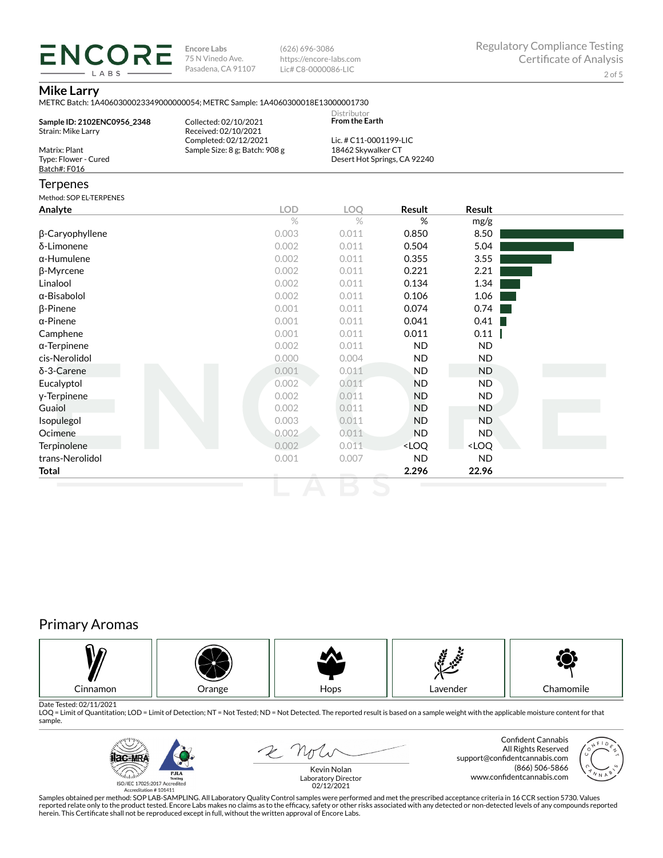**ENCORE Encore Labs** 75 N Vinedo Ave. Pasadena, CA 91107

(626) 696-3086 https://encore-labs.com Lic# C8-0000086-LIC

## **Mike Larry**

LABS

| Sample ID: 2102ENC0956_2348<br>Strain: Mike Larry     | Collected: 02/10/2021<br>Received: 02/10/2021           | Distributor<br><b>From the Earth</b>                                         |                                                          |                              |  |
|-------------------------------------------------------|---------------------------------------------------------|------------------------------------------------------------------------------|----------------------------------------------------------|------------------------------|--|
| Matrix: Plant<br>Type: Flower - Cured<br>Batch#: F016 | Completed: 02/12/2021<br>Sample Size: 8 g; Batch: 908 g | Lic. # C11-0001199-LIC<br>18462 Skywalker CT<br>Desert Hot Springs, CA 92240 |                                                          |                              |  |
| Terpenes                                              |                                                         |                                                                              |                                                          |                              |  |
| Method: SOP EL-TERPENES<br>Analyte                    | <b>LOD</b>                                              | <b>LOO</b>                                                                   | Result                                                   | <b>Result</b>                |  |
|                                                       | $\%$                                                    | $\%$                                                                         | %                                                        | mg/g                         |  |
| β-Caryophyllene                                       | 0.003                                                   | 0.011                                                                        | 0.850                                                    | 8.50                         |  |
| δ-Limonene                                            | 0.002                                                   | 0.011                                                                        | 0.504                                                    | 5.04                         |  |
| α-Humulene                                            | 0.002                                                   | 0.011                                                                        | 0.355                                                    | 3.55                         |  |
| β-Myrcene                                             | 0.002                                                   | 0.011                                                                        | 0.221                                                    | 2.21                         |  |
| Linalool                                              | 0.002                                                   | 0.011                                                                        | 0.134                                                    | 1.34                         |  |
| α-Bisabolol                                           | 0.002                                                   | 0.011                                                                        | 0.106                                                    | 1.06                         |  |
| β-Pinene                                              | 0.001                                                   | 0.011                                                                        | 0.074                                                    | 0.74                         |  |
| α-Pinene                                              | 0.001                                                   | 0.011                                                                        | 0.041                                                    | 0.41                         |  |
| Camphene                                              | 0.001                                                   | 0.011                                                                        | 0.011                                                    | 0.11                         |  |
| α-Terpinene                                           | 0.002                                                   | 0.011                                                                        | <b>ND</b>                                                | <b>ND</b>                    |  |
| cis-Nerolidol                                         | 0.000                                                   | 0.004                                                                        | <b>ND</b>                                                | <b>ND</b>                    |  |
| δ-3-Carene                                            | 0.001                                                   | 0.011                                                                        | <b>ND</b>                                                | <b>ND</b>                    |  |
| Eucalyptol                                            | 0.002                                                   | 0.011                                                                        | <b>ND</b>                                                | <b>ND</b>                    |  |
| y-Terpinene                                           | 0.002                                                   | 0.011                                                                        | <b>ND</b>                                                | <b>ND</b>                    |  |
| Guaiol                                                | 0.002                                                   | 0.011                                                                        | <b>ND</b>                                                | <b>ND</b>                    |  |
| Isopulegol                                            | 0.003                                                   | 0.011                                                                        | <b>ND</b>                                                | <b>ND</b>                    |  |
| Ocimene                                               | 0.002                                                   | 0.011                                                                        | <b>ND</b>                                                | <b>ND</b>                    |  |
| <b>Terpinolene</b>                                    | 0.002                                                   | 0.011                                                                        | <loq< td=""><td><loq< td=""><td></td></loq<></td></loq<> | <loq< td=""><td></td></loq<> |  |
| trans-Nerolidol                                       | 0.001                                                   | 0.007                                                                        | <b>ND</b>                                                | <b>ND</b>                    |  |
| Total                                                 |                                                         |                                                                              | 2.296                                                    | 22.96                        |  |

# Primary Aromas



Date Tested: 02/11/2021<br>LOQ = Limit of Quantitation; LOD = Limit of Detection; NT = Not Tested; ND = Not Detected. The reported result is based on a sample weight with the applicable moisture content for that sample.



2 not

Confident Cannabis All Rights Reserved support@confidentcannabis.com (866) 506-5866 www.confidentcannabis.com



Kevin Nolan Laboratory Director 02/12/2021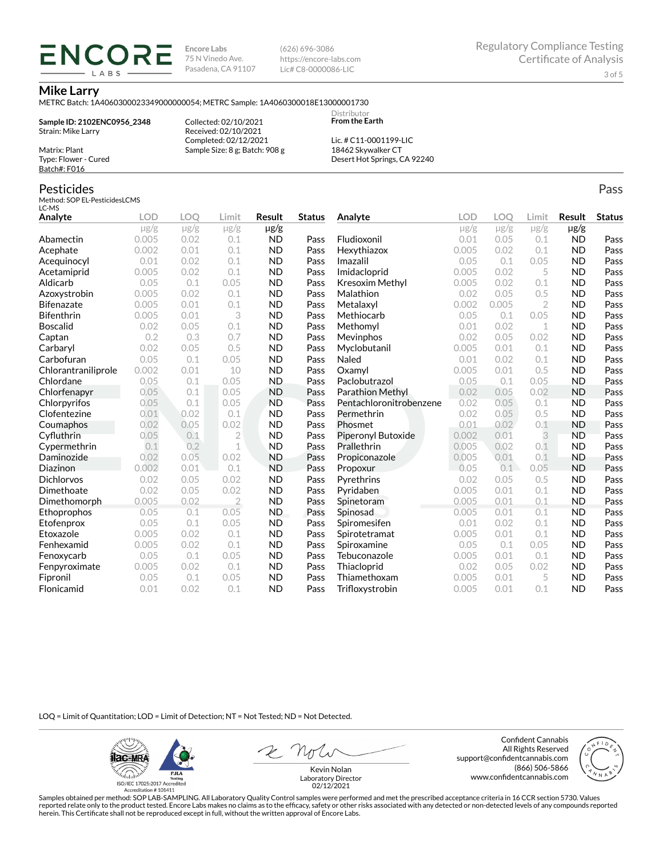**Encore Labs** 75 N Vinedo Ave. Pasadena, CA 91107 (626) 696-3086 https://encore-labs.com Lic# C8-0000086-LIC

> Distributor **From the Earth**

### **Mike Larry**

Matrix: Plant Type: Flower - Cured Batch#: F016

Pesticides

METRC Batch: 1A4060300023349000000054; METRC Sample: 1A4060300018E13000001730

**Sample ID: 2102ENC0956\_2348** Strain: Mike Larry

**ENCORE** LABS

> Received: 02/10/2021 Completed: 02/12/2021 Sample Size: 8 g; Batch: 908 g

Collected: 02/10/2021

Lic. # C11-0001199-LIC 18462 Skywalker CT Desert Hot Springs, CA 92240

#### Method: SOP EL-PesticidesLCMS LC-MS **Analyte LOD LOQ Limit Result Status**  $\mu$ g/g  $\mu$ g/g  $\mu$ g/g  $\mu$ g/g Abamectin 0.005 0.02 0.1 ND Pass Acephate 0.002 0.01 0.1 ND Pass Acequinocyl 0.01 0.02 0.1 ND Pass Acetamiprid 0.005 0.02 0.1 ND Pass Aldicarb 0.05 0.1 0.05 ND Pass Azoxystrobin 0.005 0.02 0.1 ND Pass Bifenazate 0.005 0.01 0.1 ND Pass Bifenthrin 0.005 0.01 3 ND Pass Boscalid 0.02 0.05 0.1 ND Pass **Captan 12 0.2 0.3 0.7 ND Pass Carbaryl 0.02 0.05 0.5 ND Pass** Carbofuran 0.05 0.1 0.05 ND Pass Chlorantraniliprole 0.002 0.01 10 ND Pass Chlordane 0.05 0.1 0.05 ND Pass Chlorfenapyr 0.05 0.1 0.05 ND Pass Chlorpyrifos 0.05 0.1 0.05 ND Pass Clofentezine 0.01 0.02 0.1 ND Pass Coumaphos 0.02 0.05 0.02 ND Pass Cyfluthrin 0.05 0.1 2 ND Pass Cypermethrin 0.1 0.2 1 ND Pass Daminozide 0.02 0.05 0.02 ND Pass **Diazinon** 0.002 0.01 0.1 ND Pass Dichlorvos 0.02 0.05 0.02 ND Pass Dimethoate 0.02 0.05 0.02 ND Pass Dimethomorph 0.005 0.02 2 ND Pass Ethoprophos 0.05 0.1 0.05 ND Pass Etofenprox 0.05 0.1 0.05 ND Pass Etoxazole 0.005 0.02 0.1 ND Pass Fenhexamid 0.005 0.02 0.1 ND Pass Fenoxycarb 0.05 0.1 0.05 ND Pass Fenpyroximate 0.005 0.02 0.1 ND Pass Fipronil 0.05 0.1 0.05 ND Pass Flonicamid 0.01 0.02 0.1 ND Pass **Analyte LOD LOQ Limit Result Status**  $\mu$ g/g  $\mu$ g/g  $\mu$ g/g  $\mu$ g/g Fludioxonil 0.01 0.05 0.1 ND Pass Hexythiazox 0.005 0.02 0.1 ND Pass **Imazalil 11 0.05 0.1 0.05 ND Pass** Imidacloprid 0.005 0.02 5 ND Pass Kresoxim Methyl  $0.005$  0.02 0.1 ND Pass **Malathion** 0.02 0.05 0.5 **ND Pass** Metalaxyl 0.002 0.005 2 ND Pass Methiocarb 0.05 0.1 0.05 ND Pass **Methomyl** 0.01 0.02 1 **ND Pass** Mevinphos 0.02 0.05 0.02 ND Pass Myclobutanil 0.005 0.01 0.1 ND Pass **Naled 1200 0.01 0.02 0.1 ND Pass Oxamyl** 0.005 0.01 0.5 **ND Pass** Paclobutrazol 0.05 0.1 0.05 ND Pass Parathion Methyl 0.02 0.05 0.02 ND Pass Pentachloronitrobenzene 0.02 0.05 0.1 ND Pass Permethrin 0.02 0.05 0.5 ND Pass Phosmet 0.01 0.02 0.1 ND Pass Piperonyl Butoxide 0.002 0.01 3 ND Pass Prallethrin 0.005 0.02 0.1 ND Pass Propiconazole 0.005 0.01 0.1 ND Pass **Propoxur 1988 0.05 0.1 0.05 ND Pass** Pyrethrins 0.02 0.05 0.5 ND Pass **Pyridaben 1988 0.005 0.01 0.1 ND Pass Spinetoram 0.005 0.01 0.1 ND Pass** Spinosad 0.005 0.01 0.1 ND Pass Spiromesifen 0.01 0.02 0.1 ND Pass Spirotetramat 0.005 0.01 0.1 ND Pass Spiroxamine 0.05 0.1 0.05 ND Pass Tebuconazole 0.005 0.01 0.1 ND Pass Thiacloprid 0.02 0.05 0.02 ND Pass Thiamethoxam 0.005 0.01 5 ND Pass Trifloxystrobin 0.005 0.01 0.1 ND Pass

LOQ = Limit of Quantitation; LOD = Limit of Detection; NT = Not Tested; ND = Not Detected.

**Hac-MRA P.ILA**  $d_{\rm obs}$ ISO/IEC 17025:2017 Accredited

Accreditation #101411

Z Note

Confident Cannabis All Rights Reserved support@confidentcannabis.com (866) 506-5866 www.confidentcannabis.com



Kevin Nolan Laboratory Director 02/12/2021

Samples obtained per method: SOP LAB-SAMPLING. All Laboratory Quality Control samples were performed and met the prescribed acceptance criteria in 16 CCR section 5730. Values reported relate only to the product tested. Encore Labs makes no claims as to the efficacy, safety or other risks associated with any detected or non-detected levels of any compounds reported herein. This Certificate shall not be reproduced except in full, without the written approval of Encore Labs.

Pass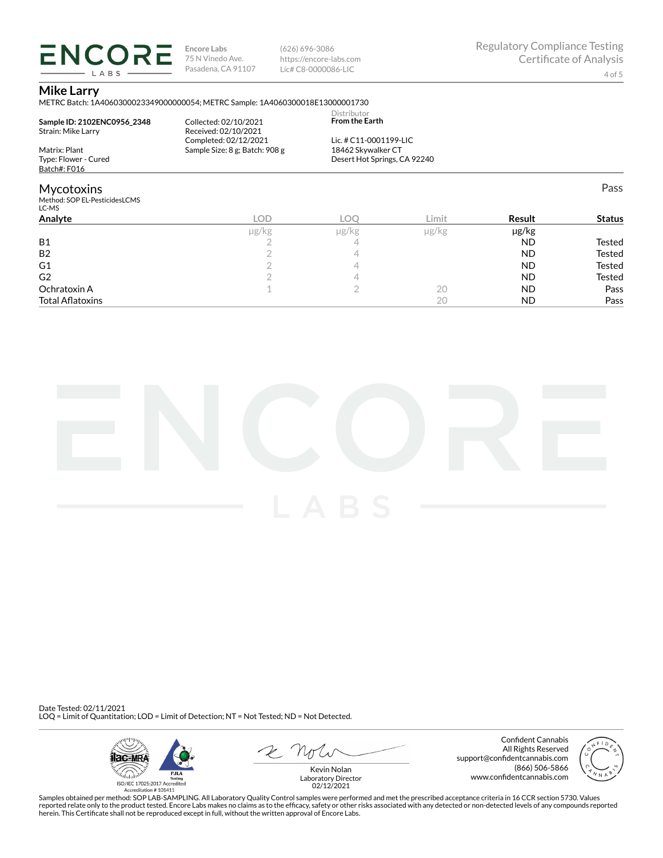**ENCORE Encore Labs** 75 N Vinedo Ave. Pasadena, CA 91107 LABS

(626) 696-3086 https://encore-labs.com Lic# C8-0000086-LIC

### **Mike Larry**

METRC Batch: 1A4060300023349000000054; METRC Sample: 1A4060300018E13000001730

| Analyte                                | <b>LOD</b><br>110/60                                    | LOO<br>110/6                                 | Limit<br>$\frac{1}{\alpha}$ | Result<br>100/kg | <b>Status</b> |
|----------------------------------------|---------------------------------------------------------|----------------------------------------------|-----------------------------|------------------|---------------|
| Method: SOP EL-PesticidesLCMS<br>LC-MS |                                                         |                                              |                             |                  |               |
| <b>Mycotoxins</b>                      |                                                         |                                              |                             |                  | Pass          |
| Batch#: F016                           |                                                         |                                              |                             |                  |               |
| Type: Flower - Cured                   |                                                         | Desert Hot Springs, CA 92240                 |                             |                  |               |
| Matrix: Plant                          | Completed: 02/12/2021<br>Sample Size: 8 g; Batch: 908 g | Lic. # C11-0001199-LIC<br>18462 Skywalker CT |                             |                  |               |
| Strain: Mike Larry                     | Received: 02/10/2021                                    |                                              |                             |                  |               |
| Sample ID: 2102ENC0956 2348            | Collected: 02/10/2021                                   | Distributor<br><b>From the Earth</b>         |                             |                  |               |

|                         | µg/kg | µg/kg | µg/kg | µg/kg     |               |
|-------------------------|-------|-------|-------|-----------|---------------|
| <b>B1</b>               |       |       |       | ND        | Tested        |
| <b>B2</b>               |       |       |       | ND        | Tested        |
| G1                      |       |       |       | ND        | <b>Tested</b> |
| G <sub>2</sub>          |       |       |       | <b>ND</b> | Tested        |
| Ochratoxin A            |       |       | 20    | ND        | Pass          |
| <b>Total Aflatoxins</b> |       |       | 20    | <b>ND</b> | Pass          |



Date Tested: 02/11/2021 LOQ = Limit of Quantitation; LOD = Limit of Detection; NT = Not Tested; ND = Not Detected.



 $R$  Mr

Confident Cannabis All Rights Reserved support@confidentcannabis.com (866) 506-5866 www.confidentcannabis.com



Kevin Nolan Laboratory Director 02/12/2021